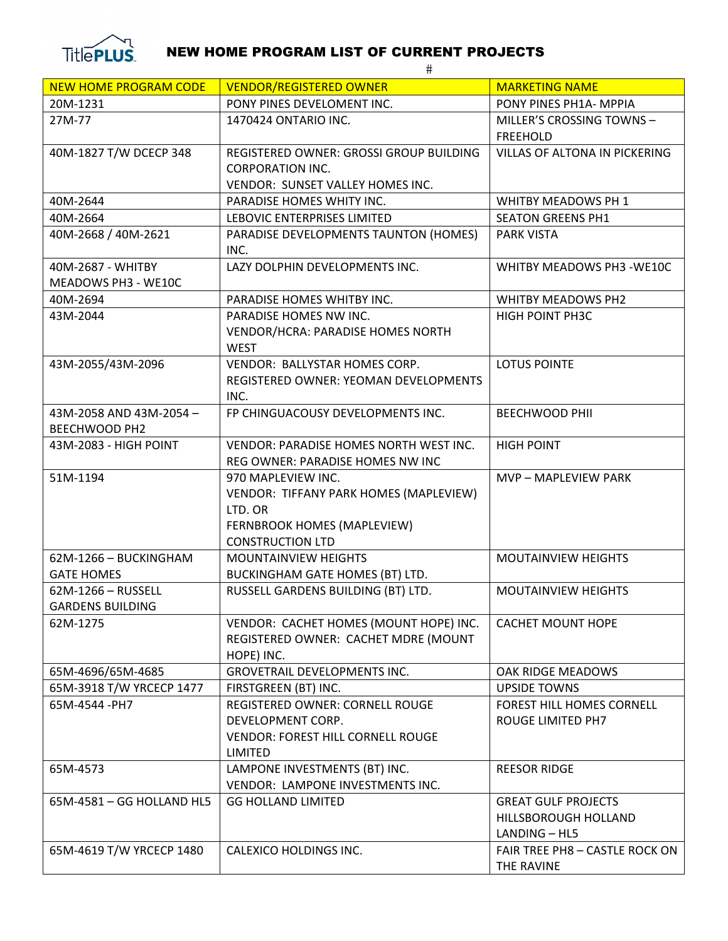

## NEW HOME PROGRAM LIST OF CURRENT PROJECTS

|                              | $\#$                                      |                                |
|------------------------------|-------------------------------------------|--------------------------------|
| <b>NEW HOME PROGRAM CODE</b> | <b>VENDOR/REGISTERED OWNER</b>            | <b>MARKETING NAME</b>          |
| 20M-1231                     | PONY PINES DEVELOMENT INC.                | PONY PINES PH1A- MPPIA         |
| 27M-77                       | 1470424 ONTARIO INC.                      | MILLER'S CROSSING TOWNS-       |
|                              |                                           | <b>FREEHOLD</b>                |
| 40M-1827 T/W DCECP 348       | REGISTERED OWNER: GROSSI GROUP BUILDING   | VILLAS OF ALTONA IN PICKERING  |
|                              | <b>CORPORATION INC.</b>                   |                                |
|                              | VENDOR: SUNSET VALLEY HOMES INC.          |                                |
| 40M-2644                     | PARADISE HOMES WHITY INC.                 | WHITBY MEADOWS PH 1            |
| 40M-2664                     | LEBOVIC ENTERPRISES LIMITED               | <b>SEATON GREENS PH1</b>       |
| 40M-2668 / 40M-2621          | PARADISE DEVELOPMENTS TAUNTON (HOMES)     | <b>PARK VISTA</b>              |
|                              | INC.                                      |                                |
| 40M-2687 - WHITBY            | LAZY DOLPHIN DEVELOPMENTS INC.            | WHITBY MEADOWS PH3 -WE10C      |
| MEADOWS PH3 - WE10C          |                                           |                                |
| 40M-2694                     | PARADISE HOMES WHITBY INC.                | WHITBY MEADOWS PH2             |
| 43M-2044                     | PARADISE HOMES NW INC.                    | HIGH POINT PH3C                |
|                              | VENDOR/HCRA: PARADISE HOMES NORTH         |                                |
|                              | <b>WEST</b>                               |                                |
| 43M-2055/43M-2096            | VENDOR: BALLYSTAR HOMES CORP.             | <b>LOTUS POINTE</b>            |
|                              | REGISTERED OWNER: YEOMAN DEVELOPMENTS     |                                |
| 43M-2058 AND 43M-2054-       | INC.<br>FP CHINGUACOUSY DEVELOPMENTS INC. | <b>BEECHWOOD PHII</b>          |
| BEECHWOOD PH2                |                                           |                                |
| 43M-2083 - HIGH POINT        | VENDOR: PARADISE HOMES NORTH WEST INC.    | <b>HIGH POINT</b>              |
|                              | REG OWNER: PARADISE HOMES NW INC          |                                |
| 51M-1194                     | 970 MAPLEVIEW INC.                        | MVP - MAPLEVIEW PARK           |
|                              | VENDOR: TIFFANY PARK HOMES (MAPLEVIEW)    |                                |
|                              | LTD. OR                                   |                                |
|                              | FERNBROOK HOMES (MAPLEVIEW)               |                                |
|                              | <b>CONSTRUCTION LTD</b>                   |                                |
| 62M-1266 - BUCKINGHAM        | <b>MOUNTAINVIEW HEIGHTS</b>               | <b>MOUTAINVIEW HEIGHTS</b>     |
| <b>GATE HOMES</b>            | BUCKINGHAM GATE HOMES (BT) LTD.           |                                |
| 62M-1266 – RUSSELL           | RUSSELL GARDENS BUILDING (BT) LTD.        | MOUTAINVIEW HEIGHTS            |
| <b>GARDENS BUILDING</b>      |                                           |                                |
| 62M-1275                     | VENDOR: CACHET HOMES (MOUNT HOPE) INC.    | <b>CACHET MOUNT HOPE</b>       |
|                              | REGISTERED OWNER: CACHET MDRE (MOUNT      |                                |
|                              | HOPE) INC.                                |                                |
| 65M-4696/65M-4685            | <b>GROVETRAIL DEVELOPMENTS INC.</b>       | OAK RIDGE MEADOWS              |
| 65M-3918 T/W YRCECP 1477     | FIRSTGREEN (BT) INC.                      | <b>UPSIDE TOWNS</b>            |
| 65M-4544 -PH7                | REGISTERED OWNER: CORNELL ROUGE           | FOREST HILL HOMES CORNELL      |
|                              | DEVELOPMENT CORP.                         | ROUGE LIMITED PH7              |
|                              | <b>VENDOR: FOREST HILL CORNELL ROUGE</b>  |                                |
|                              | <b>LIMITED</b>                            |                                |
| 65M-4573                     | LAMPONE INVESTMENTS (BT) INC.             | <b>REESOR RIDGE</b>            |
|                              | VENDOR: LAMPONE INVESTMENTS INC.          |                                |
| 65M-4581 - GG HOLLAND HL5    | <b>GG HOLLAND LIMITED</b>                 | <b>GREAT GULF PROJECTS</b>     |
|                              |                                           | HILLSBOROUGH HOLLAND           |
|                              |                                           | LANDING - HL5                  |
| 65M-4619 T/W YRCECP 1480     | CALEXICO HOLDINGS INC.                    | FAIR TREE PH8 - CASTLE ROCK ON |
|                              |                                           | THE RAVINE                     |